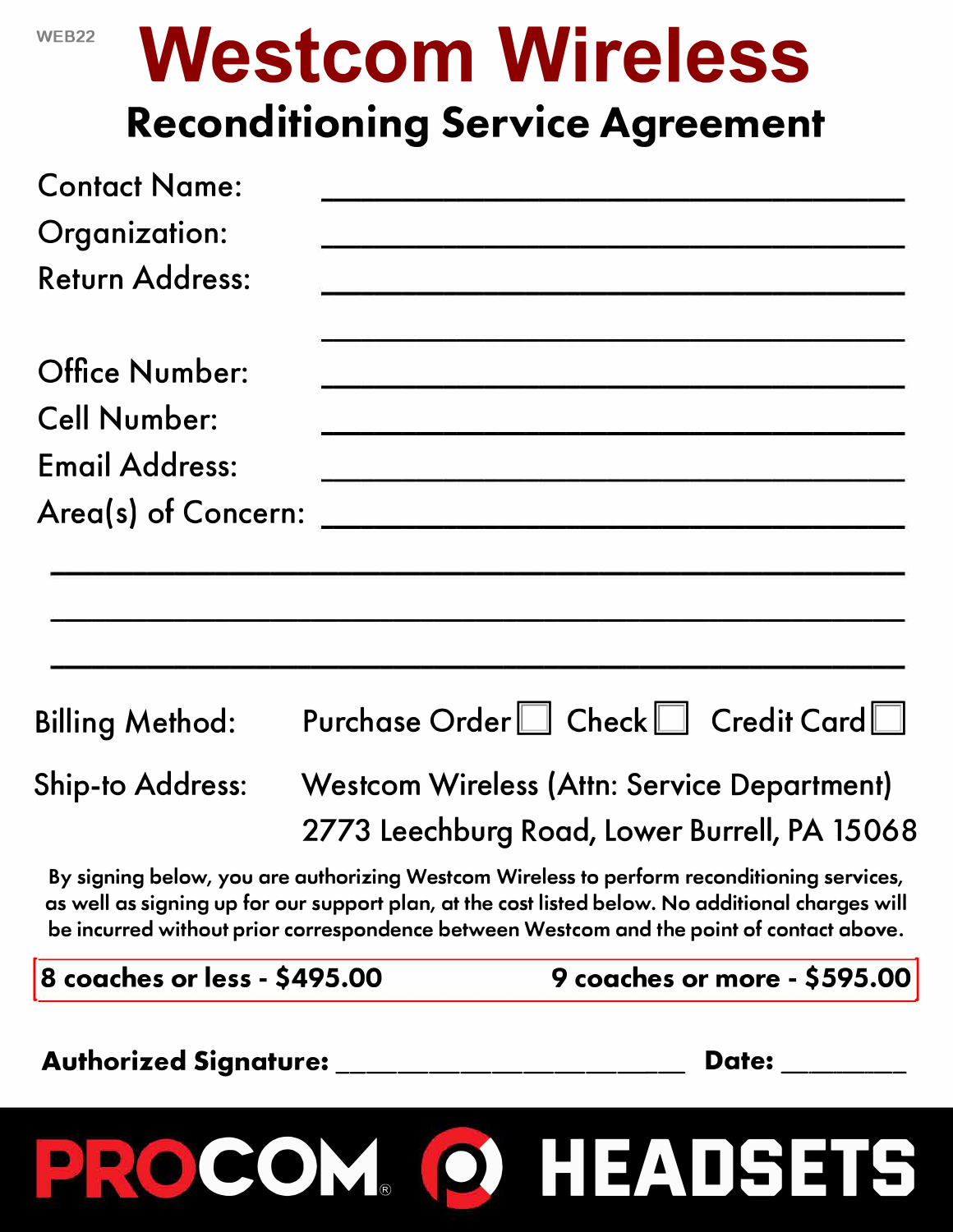| ٧ |  |  |
|---|--|--|

## **Westcom Wireless Reconditioning Service Agreement**

| <b>Contact Name:</b>                                                                                                                                                                                                                                                                       |                                                                                                                 |                                              |
|--------------------------------------------------------------------------------------------------------------------------------------------------------------------------------------------------------------------------------------------------------------------------------------------|-----------------------------------------------------------------------------------------------------------------|----------------------------------------------|
| Organization:                                                                                                                                                                                                                                                                              | n a chuid ann an 1970. Tha an t-a-mhan ann an 1970 an t-a-mhan an t-a-mhan an t-a-mhan an 1970. Tha an t-a-mha  |                                              |
| <b>Return Address:</b>                                                                                                                                                                                                                                                                     |                                                                                                                 |                                              |
| <b>Office Number:</b>                                                                                                                                                                                                                                                                      | the contract of the contract of the contract of the contract of the contract of the contract of the contract of |                                              |
| <b>Cell Number:</b>                                                                                                                                                                                                                                                                        |                                                                                                                 |                                              |
| <b>Email Address:</b>                                                                                                                                                                                                                                                                      |                                                                                                                 |                                              |
|                                                                                                                                                                                                                                                                                            |                                                                                                                 |                                              |
| <b>Billing Method:</b><br><b>Ship-to Address:</b>                                                                                                                                                                                                                                          | <b>Westcom Wireless (Attn: Service Department)</b>                                                              | Purchase Order□ Check□ Credit Card□          |
| By signing below, you are authorizing Westcom Wireless to perform reconditioning services,<br>as well as signing up for our support plan, at the cost listed below. No additional charges will<br>be incurred without prior correspondence between Westcom and the point of contact above. |                                                                                                                 | 2773 Leechburg Road, Lower Burrell, PA 15068 |
| 8 coaches or less - \$495.00                                                                                                                                                                                                                                                               |                                                                                                                 | 9 coaches or more - \$595.00                 |
| Authorized Signature: ______________                                                                                                                                                                                                                                                       |                                                                                                                 | Date: <b>Date</b>                            |
| PROCOM O HEADSETS                                                                                                                                                                                                                                                                          |                                                                                                                 |                                              |